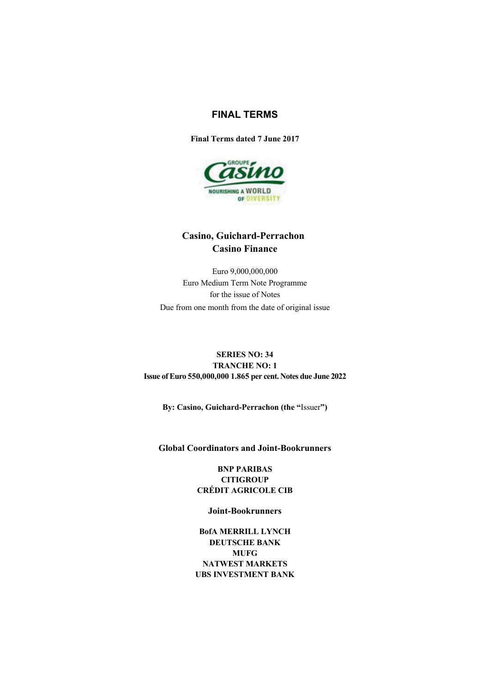# **FINAL TERMS**

**Final Terms dated 7 June 2017**



# **Casino, Guichard-Perrachon Casino Finance**

Euro 9,000,000,000 Euro Medium Term Note Programme for the issue of Notes Due from one month from the date of original issue

## **SERIES NO: 34 TRANCHE NO: 1 Issue of Euro 550,000,000 1.865 per cent. Notes due June 2022**

**By: Casino, Guichard-Perrachon (the "**Issuer**")**

### **Global Coordinators and Joint-Bookrunners**

**BNP PARIBAS CITIGROUP CRÉDIT AGRICOLE CIB**

**Joint-Bookrunners**

**BofA MERRILL LYNCH DEUTSCHE BANK MUFG NATWEST MARKETS UBS INVESTMENT BANK**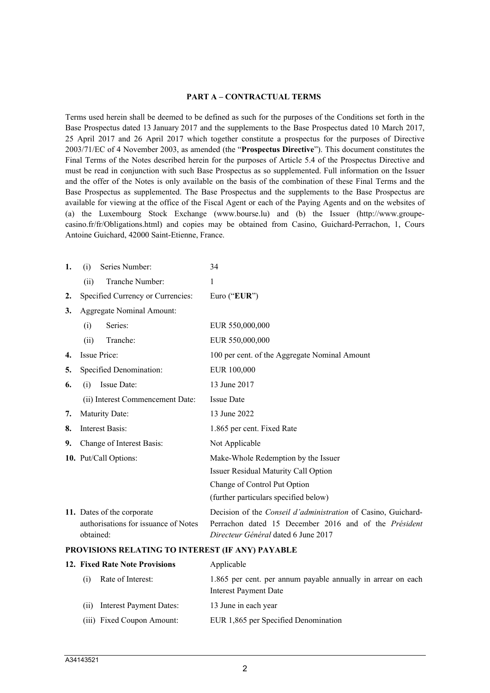#### **PART A – CONTRACTUAL TERMS**

Terms used herein shall be deemed to be defined as such for the purposes of the Conditions set forth in the Base Prospectus dated 13 January 2017 and the supplements to the Base Prospectus dated 10 March 2017, 25 April 2017 and 26 April 2017 which together constitute a prospectus for the purposes of Directive 2003/71/EC of 4 November 2003, as amended (the "**Prospectus Directive**"). This document constitutes the Final Terms of the Notes described herein for the purposes of Article 5.4 of the Prospectus Directive and must be read in conjunction with such Base Prospectus as so supplemented. Full information on the Issuer and the offer of the Notes is only available on the basis of the combination of these Final Terms and the Base Prospectus as supplemented. The Base Prospectus and the supplements to the Base Prospectus are available for viewing at the office of the Fiscal Agent or each of the Paying Agents and on the websites of (a) the Luxembourg Stock Exchange (www.bourse.lu) and (b) the Issuer (http://www.groupecasino.fr/fr/Obligations.html) and copies may be obtained from Casino, Guichard-Perrachon, 1, Cours Antoine Guichard, 42000 Saint-Etienne, France.

| 1. | Series Number:<br>(i)                                                           | 34                                                                                                                                                                          |
|----|---------------------------------------------------------------------------------|-----------------------------------------------------------------------------------------------------------------------------------------------------------------------------|
|    | Tranche Number:<br>(ii)                                                         | 1                                                                                                                                                                           |
| 2. | Specified Currency or Currencies:                                               | Euro (" $EUR$ ")                                                                                                                                                            |
| 3. | Aggregate Nominal Amount:                                                       |                                                                                                                                                                             |
|    | Series:<br>(i)                                                                  | EUR 550,000,000                                                                                                                                                             |
|    | Tranche:<br>(ii)                                                                | EUR 550,000,000                                                                                                                                                             |
| 4. | Issue Price:                                                                    | 100 per cent. of the Aggregate Nominal Amount                                                                                                                               |
| 5. | Specified Denomination:                                                         | EUR 100,000                                                                                                                                                                 |
| 6. | Issue Date:<br>(i)                                                              | 13 June 2017                                                                                                                                                                |
|    | (ii) Interest Commencement Date:                                                | <b>Issue Date</b>                                                                                                                                                           |
| 7. | <b>Maturity Date:</b>                                                           | 13 June 2022                                                                                                                                                                |
| 8. | Interest Basis:                                                                 | 1.865 per cent. Fixed Rate                                                                                                                                                  |
| 9. | Change of Interest Basis:                                                       | Not Applicable                                                                                                                                                              |
|    | 10. Put/Call Options:                                                           | Make-Whole Redemption by the Issuer                                                                                                                                         |
|    |                                                                                 | Issuer Residual Maturity Call Option                                                                                                                                        |
|    |                                                                                 | Change of Control Put Option                                                                                                                                                |
|    |                                                                                 | (further particulars specified below)                                                                                                                                       |
|    | 11. Dates of the corporate<br>authorisations for issuance of Notes<br>obtained: | Decision of the <i>Conseil d'administration</i> of Casino, Guichard-<br>Perrachon dated 15 December 2016 and of the <i>Président</i><br>Directeur Général dated 6 June 2017 |
|    |                                                                                 |                                                                                                                                                                             |

#### **PROVISIONS RELATING TO INTEREST (IF ANY) PAYABLE**

|      | 12. Fixed Rate Note Provisions | Applicable                                                                            |
|------|--------------------------------|---------------------------------------------------------------------------------------|
| (i)  | Rate of Interest:              | 1.865 per cent. per annum payable annually in arrear on each<br>Interest Payment Date |
| (11) | Interest Payment Dates:        | 13 June in each year                                                                  |
|      | (iii) Fixed Coupon Amount:     | EUR 1,865 per Specified Denomination                                                  |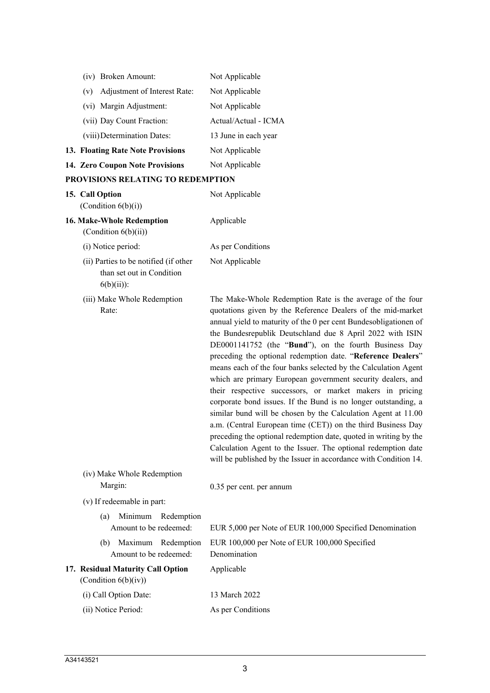| (iv) Broken Amount:                                                                 | Not Applicable                                                                                                                                                                                                                                                                                                                                                                                                                                                                                                                                                                                                                                                                                                                                                                                                                                                                                                                                                                             |
|-------------------------------------------------------------------------------------|--------------------------------------------------------------------------------------------------------------------------------------------------------------------------------------------------------------------------------------------------------------------------------------------------------------------------------------------------------------------------------------------------------------------------------------------------------------------------------------------------------------------------------------------------------------------------------------------------------------------------------------------------------------------------------------------------------------------------------------------------------------------------------------------------------------------------------------------------------------------------------------------------------------------------------------------------------------------------------------------|
| Adjustment of Interest Rate:<br>(v)                                                 | Not Applicable                                                                                                                                                                                                                                                                                                                                                                                                                                                                                                                                                                                                                                                                                                                                                                                                                                                                                                                                                                             |
| (vi) Margin Adjustment:                                                             | Not Applicable                                                                                                                                                                                                                                                                                                                                                                                                                                                                                                                                                                                                                                                                                                                                                                                                                                                                                                                                                                             |
| (vii) Day Count Fraction:                                                           | Actual/Actual - ICMA                                                                                                                                                                                                                                                                                                                                                                                                                                                                                                                                                                                                                                                                                                                                                                                                                                                                                                                                                                       |
| (viii) Determination Dates:                                                         | 13 June in each year                                                                                                                                                                                                                                                                                                                                                                                                                                                                                                                                                                                                                                                                                                                                                                                                                                                                                                                                                                       |
| 13. Floating Rate Note Provisions                                                   | Not Applicable                                                                                                                                                                                                                                                                                                                                                                                                                                                                                                                                                                                                                                                                                                                                                                                                                                                                                                                                                                             |
| 14. Zero Coupon Note Provisions                                                     | Not Applicable                                                                                                                                                                                                                                                                                                                                                                                                                                                                                                                                                                                                                                                                                                                                                                                                                                                                                                                                                                             |
| PROVISIONS RELATING TO REDEMPTION                                                   |                                                                                                                                                                                                                                                                                                                                                                                                                                                                                                                                                                                                                                                                                                                                                                                                                                                                                                                                                                                            |
| 15. Call Option                                                                     | Not Applicable                                                                                                                                                                                                                                                                                                                                                                                                                                                                                                                                                                                                                                                                                                                                                                                                                                                                                                                                                                             |
| (Condition $6(b)(i)$ )                                                              |                                                                                                                                                                                                                                                                                                                                                                                                                                                                                                                                                                                                                                                                                                                                                                                                                                                                                                                                                                                            |
| 16. Make-Whole Redemption<br>(Condition 6(b)(ii))                                   | Applicable                                                                                                                                                                                                                                                                                                                                                                                                                                                                                                                                                                                                                                                                                                                                                                                                                                                                                                                                                                                 |
| (i) Notice period:                                                                  | As per Conditions                                                                                                                                                                                                                                                                                                                                                                                                                                                                                                                                                                                                                                                                                                                                                                                                                                                                                                                                                                          |
| (ii) Parties to be notified (if other<br>than set out in Condition<br>$6(b)(ii))$ : | Not Applicable                                                                                                                                                                                                                                                                                                                                                                                                                                                                                                                                                                                                                                                                                                                                                                                                                                                                                                                                                                             |
| (iii) Make Whole Redemption<br>Rate:                                                | The Make-Whole Redemption Rate is the average of the four<br>quotations given by the Reference Dealers of the mid-market<br>annual yield to maturity of the 0 per cent Bundesobligationen of<br>the Bundesrepublik Deutschland due 8 April 2022 with ISIN<br>DE0001141752 (the "Bund"), on the fourth Business Day<br>preceding the optional redemption date. "Reference Dealers"<br>means each of the four banks selected by the Calculation Agent<br>which are primary European government security dealers, and<br>their respective successors, or market makers in pricing<br>corporate bond issues. If the Bund is no longer outstanding, a<br>similar bund will be chosen by the Calculation Agent at 11.00<br>a.m. (Central European time (CET)) on the third Business Day<br>preceding the optional redemption date, quoted in writing by the<br>Calculation Agent to the Issuer. The optional redemption date<br>will be published by the Issuer in accordance with Condition 14. |
| (iv) Make Whole Redemption                                                          |                                                                                                                                                                                                                                                                                                                                                                                                                                                                                                                                                                                                                                                                                                                                                                                                                                                                                                                                                                                            |
| Margin:                                                                             | 0.35 per cent. per annum                                                                                                                                                                                                                                                                                                                                                                                                                                                                                                                                                                                                                                                                                                                                                                                                                                                                                                                                                                   |
| (v) If redeemable in part:                                                          |                                                                                                                                                                                                                                                                                                                                                                                                                                                                                                                                                                                                                                                                                                                                                                                                                                                                                                                                                                                            |
| Minimum<br>Redemption<br>(a)<br>Amount to be redeemed:                              | EUR 5,000 per Note of EUR 100,000 Specified Denomination                                                                                                                                                                                                                                                                                                                                                                                                                                                                                                                                                                                                                                                                                                                                                                                                                                                                                                                                   |
| Maximum Redemption<br>(b)<br>Amount to be redeemed:                                 | EUR 100,000 per Note of EUR 100,000 Specified<br>Denomination                                                                                                                                                                                                                                                                                                                                                                                                                                                                                                                                                                                                                                                                                                                                                                                                                                                                                                                              |
| 17. Residual Maturity Call Option<br>(Condition $6(b)(iv)$ )                        | Applicable                                                                                                                                                                                                                                                                                                                                                                                                                                                                                                                                                                                                                                                                                                                                                                                                                                                                                                                                                                                 |
| (i) Call Option Date:                                                               | 13 March 2022                                                                                                                                                                                                                                                                                                                                                                                                                                                                                                                                                                                                                                                                                                                                                                                                                                                                                                                                                                              |
| (ii) Notice Period:                                                                 | As per Conditions                                                                                                                                                                                                                                                                                                                                                                                                                                                                                                                                                                                                                                                                                                                                                                                                                                                                                                                                                                          |
|                                                                                     |                                                                                                                                                                                                                                                                                                                                                                                                                                                                                                                                                                                                                                                                                                                                                                                                                                                                                                                                                                                            |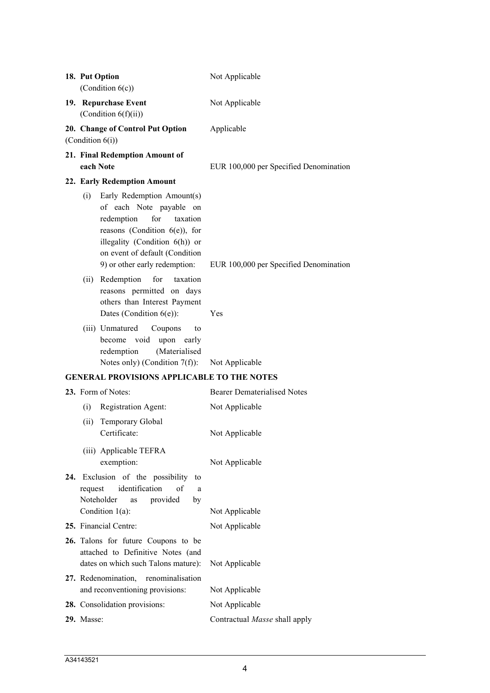|     |            | 18. Put Option<br>(Condition $6(c)$ )                                                                                                                                                          | Not Applicable                                |
|-----|------------|------------------------------------------------------------------------------------------------------------------------------------------------------------------------------------------------|-----------------------------------------------|
|     |            | 19. Repurchase Event<br>(Condition $6(f)(ii)$ )                                                                                                                                                | Not Applicable                                |
|     |            | 20. Change of Control Put Option<br>(Condition $6(i)$ )                                                                                                                                        | Applicable                                    |
|     | each Note  | 21. Final Redemption Amount of                                                                                                                                                                 | EUR 100,000 per Specified Denomination        |
|     |            | 22. Early Redemption Amount                                                                                                                                                                    |                                               |
|     | (i)        | Early Redemption Amount(s)<br>of each Note payable on<br>redemption<br>for<br>taxation<br>reasons (Condition 6(e)), for<br>illegality (Condition $6(h)$ ) or<br>on event of default (Condition |                                               |
|     | (ii)       | 9) or other early redemption:<br>Redemption<br>for<br>taxation<br>reasons permitted on days<br>others than Interest Payment<br>Dates (Condition $6(e)$ ):                                      | EUR 100,000 per Specified Denomination<br>Yes |
|     |            | (iii) Unmatured<br>Coupons<br>to<br>become void<br>upon<br>early<br>redemption<br>(Materialised<br>Notes only) (Condition $7(f)$ ):                                                            | Not Applicable                                |
|     |            | <b>GENERAL PROVISIONS APPLICABLE TO THE NOTES</b>                                                                                                                                              |                                               |
|     |            | 23. Form of Notes:                                                                                                                                                                             | <b>Bearer Dematerialised Notes</b>            |
|     | (i)        | Registration Agent:                                                                                                                                                                            | Not Applicable                                |
|     | (ii)       | Temporary Global<br>Certificate:                                                                                                                                                               | Not Applicable                                |
|     |            | (iii) Applicable TEFRA<br>exemption:                                                                                                                                                           | Not Applicable                                |
| 24. | request    | Exclusion of the possibility<br>to<br>identification<br>of<br>a<br>Noteholder<br>provided<br>by<br>as<br>Condition $1(a)$ :                                                                    | Not Applicable                                |
|     |            | 25. Financial Centre:                                                                                                                                                                          | Not Applicable                                |
|     |            | 26. Talons for future Coupons to be<br>attached to Definitive Notes (and<br>dates on which such Talons mature):                                                                                | Not Applicable                                |
|     |            | 27. Redenomination,<br>renominalisation                                                                                                                                                        |                                               |
|     |            | and reconventioning provisions:                                                                                                                                                                | Not Applicable                                |
|     |            | 28. Consolidation provisions:                                                                                                                                                                  | Not Applicable                                |
|     | 29. Masse: |                                                                                                                                                                                                | Contractual Masse shall apply                 |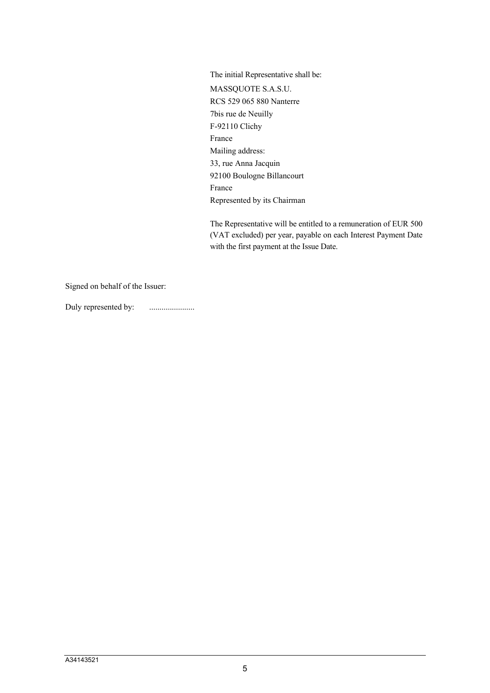The initial Representative shall be: MASSQUOTE S.A.S.U. RCS 529 065 880 Nanterre 7bis rue de Neuilly F-92110 Clichy France Mailing address: 33, rue Anna Jacquin 92100 Boulogne Billancourt France Represented by its Chairman

The Representative will be entitled to a remuneration of EUR 500 (VAT excluded) per year, payable on each Interest Payment Date with the first payment at the Issue Date.

Signed on behalf of the Issuer:

Duly represented by: ......................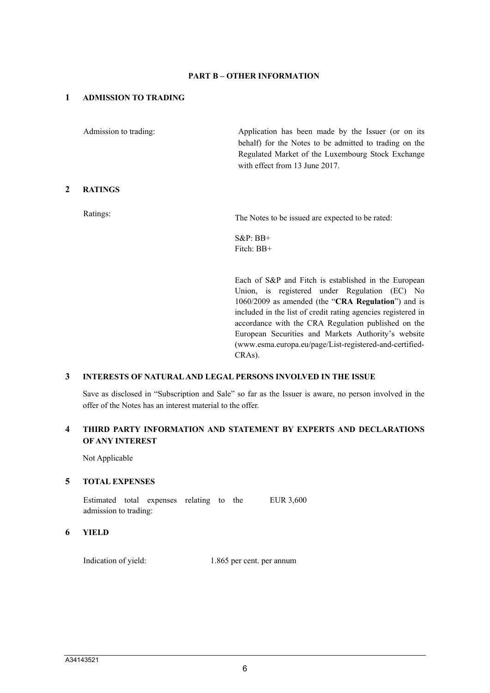#### **PART B – OTHER INFORMATION**

### **1 ADMISSION TO TRADING**

Admission to trading: Application has been made by the Issuer (or on its behalf) for the Notes to be admitted to trading on the Regulated Market of the Luxembourg Stock Exchange with effect from 13 June 2017. **2 RATINGS**

Ratings: The Notes to be issued are expected to be rated:

S&P: BB+ Fitch: BB+

Each of S&P and Fitch is established in the European Union, is registered under Regulation (EC) No 1060/2009 as amended (the "**CRA Regulation**") and is included in the list of credit rating agencies registered in accordance with the CRA Regulation published on the European Securities and Markets Authority's website (www.esma.europa.eu/page/List-registered-and-certified-CRAs).

#### **3 INTERESTS OF NATURAL AND LEGAL PERSONS INVOLVED IN THE ISSUE**

Save as disclosed in "Subscription and Sale" so far as the Issuer is aware, no person involved in the offer of the Notes has an interest material to the offer.

## **4 THIRD PARTY INFORMATION AND STATEMENT BY EXPERTS AND DECLARATIONS OF ANY INTEREST**

Not Applicable

#### **5 TOTAL EXPENSES**

Estimated total expenses relating to the admission to trading: EUR 3,600

#### **6 YIELD**

Indication of yield: 1.865 per cent. per annum